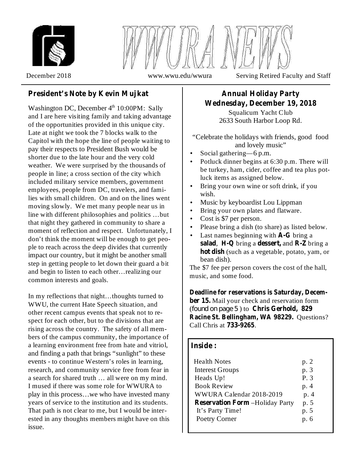



# **President's Note by Kevin Mujkat**

Washington DC, December  $4<sup>th</sup> 10:00PM$ : Sally and I are here visiting family and taking advantage of the opportunities provided in this unique city. Late at night we took the 7 blocks walk to the Capitol with the hope the line of people waiting to pay their respects to President Bush would be shorter due to the late hour and the very cold weather. We were surprised by the thousands of people in line; a cross section of the city which included military service members, government employees, people from DC, travelers, and families with small children. On and on the lines went moving slowly. We met many people near us in line with different philosophies and politics …but that night they gathered in community to share a moment of reflection and respect. Unfortunately, I don't think the moment will be enough to get people to reach across the deep divides that currently impact our country, but it might be another small step in getting people to let down their guard a bit and begin to listen to each other…realizing our common interests and goals.

In my reflections that night…thoughts turned to WWU, the current Hate Speech situation, and other recent campus events that speak not to respect for each other, but to the divisions that are rising across the country. The safety of all members of the campus community, the importance of a learning environment free from hate and vitriol, and finding a path that brings "sunlight" to these events - to continue Western's roles in learning, research, and community service free from fear in a search for shared truth … all were on my mind. I mused if there was some role for WWURA to play in this process…we who have invested many years of service to the institution and its students. That path is not clear to me, but I would be interested in any thoughts members might have on this issue.

# **Annual Holiday Party Wednesday, December 19, 2018**

Squalicum Yacht Club 2633 South Harbor Loop Rd.

"Celebrate the holidays with friends, good food and lovely music"

- Social gathering—6 p.m. •
- Potluck dinner begins at 6:30 p.m. There will be turkey, ham, cider, coffee and tea plus potluck items as assigned below. •
- Bring your own wine or soft drink, if you wish. •
- Music by keyboardist Lou Lippman •
- Bring your own plates and flatware. •
- Cost is \$7 per person. •
- Please bring a dish (to share) as listed below. •
- Last names beginning with **A-G** bring a **salad, H-Q** bring a **dessert**, and **R-Z** bring a **hot dish** (such as a vegetable, potato, yam, or bean dish). •

The \$7 fee per person covers the cost of the hall, music, and some food.

ber 15. Mail your check and reservation form (found on page 5) to Chris Gerhold, 829 **Racine St. Bellingham, WA 98229.** Questions? Call Chris at . **733-9265 Deadline for reservations is Saturday, Decem-**

# **Inside :**

| <b>Health Notes</b><br><b>Interest Groups</b><br>Heads Up!<br><b>Book Review</b><br>WWURA Calendar 2018-2019<br><b>Reservation Form -Holiday Party</b><br>It's Party Time! | p. 2<br>p. 3<br>P.3<br>p. 4<br>p. 4<br>p. 5<br>p. 5 |
|----------------------------------------------------------------------------------------------------------------------------------------------------------------------------|-----------------------------------------------------|
| Poetry Corner                                                                                                                                                              | p. 6                                                |
|                                                                                                                                                                            |                                                     |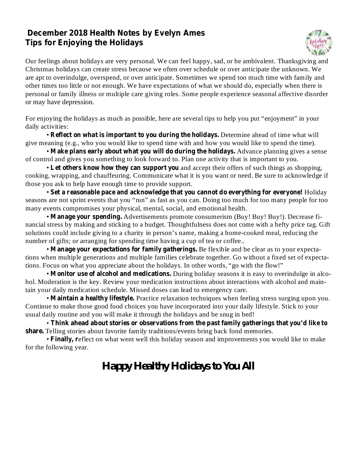# **December 2018 Health Notes by Evelyn Ames Tips for Enjoying the Holidays**



Our feelings about holidays are very personal. We can feel happy, sad, or be ambivalent. Thanksgiving and Christmas holidays can create stress because we often over schedule or over anticipate the unknown. We are apt to overindulge, overspend, or over anticipate. Sometimes we spend too much time with family and other times too little or not enough. We have expectations of what we should do, especially when there is personal or family illness or multiple care giving roles. Some people experience seasonal affective disorder or may have depression.

For enjoying the holidays as much as possible, here are several tips to help you put "enjoyment" in your daily activities:

**• Reflect on what is important to you during the holidays. Determine ahead of time what will** give meaning (e.g., who you would like to spend time with and how you would like to spend the time).

• Make plans early about what you will do during the holidays. Advance planning gives a sense of control and gives you something to look forward to. Plan one activity that is important to you.

• Let others know how they can support you and accept their offers of such things as shopping, cooking, wrapping, and chauffeuring. Communicate what it is you want or need. Be sure to acknowledge if those you ask to help have enough time to provide support.

 $\bullet$  Set a reasonable pace and acknowledge that you cannot do everything for everyone! Holiday seasons are not sprint events that you "run" as fast as you can. Doing too much for too many people for too many events compromises your physical, mental, social, and emotional health.

• Manage your spending. Advertisements promote consumerism (Buy! Buy! Buy!). Decrease financial stress by making and sticking to a budget. Thoughtfulness does not come with a hefty price tag. Gift solutions could include giving to a charity in person's name, making a home-cooked meal, reducing the number of gifts; or arranging for spending time having a cup of tea or coffee..

• Manage your expectations for family gatherings. Be flexible and be clear as to your expectations when multiple generations and multiple families celebrate together. Go without a fixed set of expectations. Focus on what you appreciate about the holidays. In other words, "go with the flow!"

• Monitor use of alcohol and medications. During holiday seasons it is easy to overindulge in alcohol. Moderation is the key. Review your medication instructions about interactions with alcohol and maintain your daily medication schedule. Missed doses can lead to emergency care.

• Maintain a healthy lifestyle. Practice relaxation techniques when feeling stress surging upon you. Continue to make those good food choices you have incorporated into your daily lifestyle. Stick to your usual daily routine and you will make it through the holidays and be snug in bed!

• **Think ahead about stories or observations from the past family gatherings that you'd like to** share. Telling stories about favorite family traditions/events bring back fond memories.

• Finally, reflect on what went well this holiday season and improvements you would like to make for the following year.

# *Happy Healthy Holidays to You All*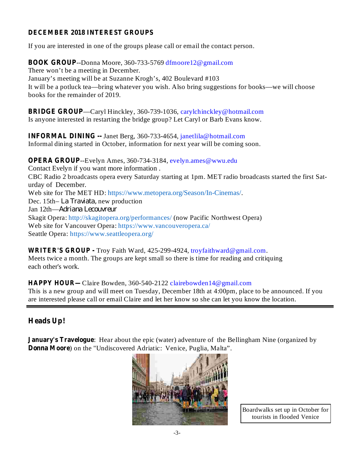## **DECEMBER 2018 INTEREST GROUPS**

If you are interested in one of the groups please call or email the contact person.

**BOOK GROUP** --Donna Moore, 360-733-5769 dfmoore12@gmail.com There won't be a meeting in December. January's meeting will be at Suzanne Krogh's, 402 Boulevard #103 It will be a potluck tea—bring whatever you wish. Also bring suggestions for books—we will choose books for the remainder of 2019.

**BRIDGE GROUP** —Caryl Hinckley, 360-739-1036, carylchinckley@hotmail.com Is anyone interested in restarting the bridge group? Let Caryl or Barb Evans know.

**INFORMAL DINING --** Janet Berg, 360-733-4654, janetlila@hotmail.com Informal dining started in October, information for next year will be coming soon.

**OPERA GROUP** --Evelyn Ames, 360-734-3184, evelyn.ames@wwu.edu Contact Evelyn if you want more information . CBC Radio 2 broadcasts opera every Saturday starting at 1pm. MET radio broadcasts started the first Saturday of December. Web site for The MET HD: https://www.metopera.org/Season/In-Cinemas/. Dec. 15th– La Traviata, new production Jan 12th— *Adriana Lecouvreur*Skagit Opera: http://skagitopera.org/performances/ (now Pacific Northwest Opera) Web site for Vancouver Opera: https://www.vancouveropera.ca/ Seattle Opera: https://www.seattleopera.org/

**WRITER'S GROUP -** Troy Faith Ward, 425-299-4924, troyfaithward@gmail.com. Meets twice a month. The groups are kept small so there is time for reading and critiquing each other's work.

**HAPPY HOUR—** Claire Bowden, 360-540-2122 clairebowden14@gmail.com This is a new group and will meet on Tuesday, December 18th at 4:00pm, place to be announced. If you are interested please call or email Claire and let her know so she can let you know the location.

# **Heads Up!**

**January's Travelogue:** Hear about the epic (water) adventure of the Bellingham Nine (organized by **Donna Moore** ) on the "Undiscovered Adriatic: Venice, Puglia, Malta".



Boardwalks set up in October for tourists in flooded Venice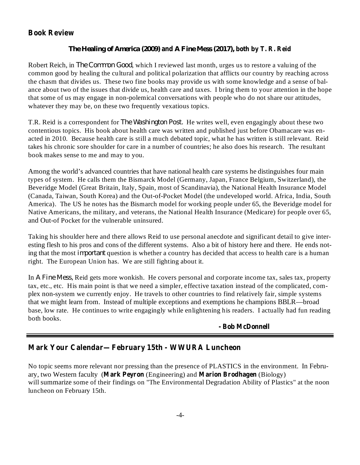# **Book Review**

#### **and both by T. R. Reid** *The Healing of America (2009) A Fine Mess (2017),*

Robert Reich, in *The Common Good*, which I reviewed last month, urges us to restore a valuing of the common good by healing the cultural and political polarization that afflicts our country by reaching across the chasm that divides us. These two fine books may provide us with some knowledge and a sense of balance about two of the issues that divide us, health care and taxes. I bring them to your attention in the hope that some of us may engage in non-polemical conversations with people who do not share our attitudes, whatever they may be, on these two frequently vexatious topics.

T.R. Reid is a correspondent for *The Washington Post*. He writes well, even engagingly about these two contentious topics. His book about health care was written and published just before Obamacare was enacted in 2010. Because health care is still a much debated topic, what he has written is still relevant. Reid takes his chronic sore shoulder for care in a number of countries; he also does his research. The resultant book makes sense to me and may to you.

Among the world's advanced countries that have national health care systems he distinguishes four main types of system. He calls them the Bismarck Model (Germany, Japan, France Belgium, Switzerland), the Beveridge Model (Great Britain, Italy, Spain, most of Scandinavia), the National Health Insurance Model (Canada, Taiwan, South Korea) and the Out-of-Pocket Model (the undeveloped world. Africa, India, South America). The US he notes has the Bismarch model for working people under 65, the Beveridge model for Native Americans, the military, and veterans, the National Health Insurance (Medicare) for people over 65, and Out-of Pocket for the vulnerable uninsured.

Taking his shoulder here and there allows Reid to use personal anecdote and significant detail to give interesting flesh to his pros and cons of the different systems. Also a bit of history here and there. He ends noting that the most *important* question is whether a country has decided that access to health care is a human right. The European Union has. We are still fighting about it.

In A Fine Mess, Reid gets more wonkish. He covers personal and corporate income tax, sales tax, property tax, etc., etc. His main point is that we need a simpler, effective taxation instead of the complicated, complex non-system we currently enjoy. He travels to other countries to find relatively fair, simple systems that we might learn from. Instead of multiple exceptions and exemptions he champions BBLR—broad base, low rate. He continues to write engagingly while enlightening his readers. I actually had fun reading both books.

#### **- Bob McDonnell**

# **Mark Your Calendar—February 15th - WWURA Luncheon**

ary, two Western faculty (Mark Peyron (Engineering) and Marion Brodhagen (Biology) No topic seems more relevant nor pressing than the presence of PLASTICS in the environment. In Februwill summarize some of their findings on "The Environmental Degradation Ability of Plastics" at the noon luncheon on February 15th.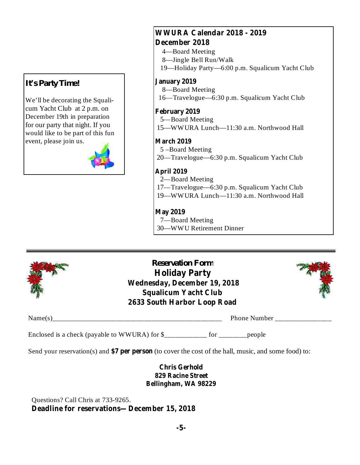# *It's Party Time!*

We'll be decorating the Squalicum Yacht Club at 2 p.m. on December 19th in preparation for our party that night. If you would like to be part of this fun event, please join us.



# **WWURA Calendar 2018 - 2019 December 2018**

- 4—Board Meeting
- 8—Jingle Bell Run/Walk
- 19—Holiday Party—6:00 p.m. Squalicum Yacht Club

#### **January 2019**

- 8—Board Meeting
- 16—Travelogue—6:30 p.m. Squalicum Yacht Club

#### **February 2019**

- 5—Board Meeting
- 15—WWURA Lunch—11:30 a.m. Northwood Hall

#### **March 2019**

- 5 –Board Meeting
- 20—Travelogue—6:30 p.m. Squalicum Yacht Club

## **April 2019**

- 2—Board Meeting
- 17—Travelogue—6:30 p.m. Squalicum Yacht Club
- 19—WWURA Lunch—11:30 a.m. Northwood Hall

# **May 2019**

7—Board Meeting 30—WWU Retirement Dinner



*Reservation Form* **Holiday Party Wednesday, December 19, 2018 Squalicum Yacht Club 2633 South Harbor Loop Road**



Name(s)\_\_\_\_\_\_\_\_\_\_\_\_\_\_\_\_\_\_\_\_\_\_\_\_\_\_\_\_\_\_\_\_\_\_\_\_\_\_\_\_\_\_\_\_\_\_\_\_ Phone Number \_\_\_\_\_\_\_\_\_\_\_\_\_\_\_\_

Enclosed is a check (payable to WWURA) for \$\_\_\_\_\_\_\_\_\_\_\_\_ for \_\_\_\_\_\_\_\_people

Send your reservation(s) and \$7 per person (to cover the cost of the hall, music, and some food) to:

## **Chris Gerhold 829 Racine Street Bellingham, WA 98229**

**Deadline for reservations—December 15, 2018** Questions? Call Chris at 733-9265.